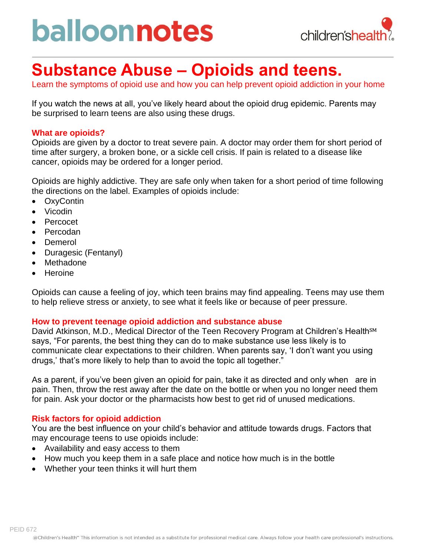# balloonnotes



### **Substance Abuse – Opioids and teens.**

Learn the symptoms of opioid use and how you can help prevent opioid addiction in your home

If you watch the news at all, you've likely heard about the opioid drug epidemic. Parents may be surprised to learn teens are also using these drugs.

#### **What are opioids?**

Opioids are given by a doctor to treat severe pain. A doctor may order them for short period of time after surgery, a broken bone, or a sickle cell crisis. If pain is related to a disease like cancer, opioids may be ordered for a longer period.

Opioids are highly addictive. They are safe only when taken for a short period of time following the directions on the label. Examples of opioids include:

- OxyContin
- Vicodin
- Percocet
- Percodan
- **Demerol**
- Duragesic (Fentanyl)
- Methadone
- Heroine

Opioids can cause a feeling of joy, which teen brains may find appealing. Teens may use them to help relieve stress or anxiety, to see what it feels like or because of peer pressure.

#### **How to prevent teenage opioid addiction and substance abuse**

David Atkinson, M.D., Medical Director of the Teen Recovery Program at Children's Health<sup>SM</sup> says, "For parents, the best thing they can do to make substance use less likely is to communicate clear expectations to their children. When parents say, 'I don't want you using drugs,' that's more likely to help than to avoid the topic all together."

As a parent, if you've been given an opioid for pain, take it as directed and only when are in pain. Then, throw the rest away after the date on the bottle or when you no longer need them for pain. Ask your doctor or the pharmacists how best to get rid of unused medications.

#### **Risk factors for opioid addiction**

You are the best influence on your child's behavior and attitude towards drugs. Factors that may encourage teens to use opioids include:

- Availability and easy access to them
- How much you keep them in a safe place and notice how much is in the bottle
- Whether your teen thinks it will hurt them